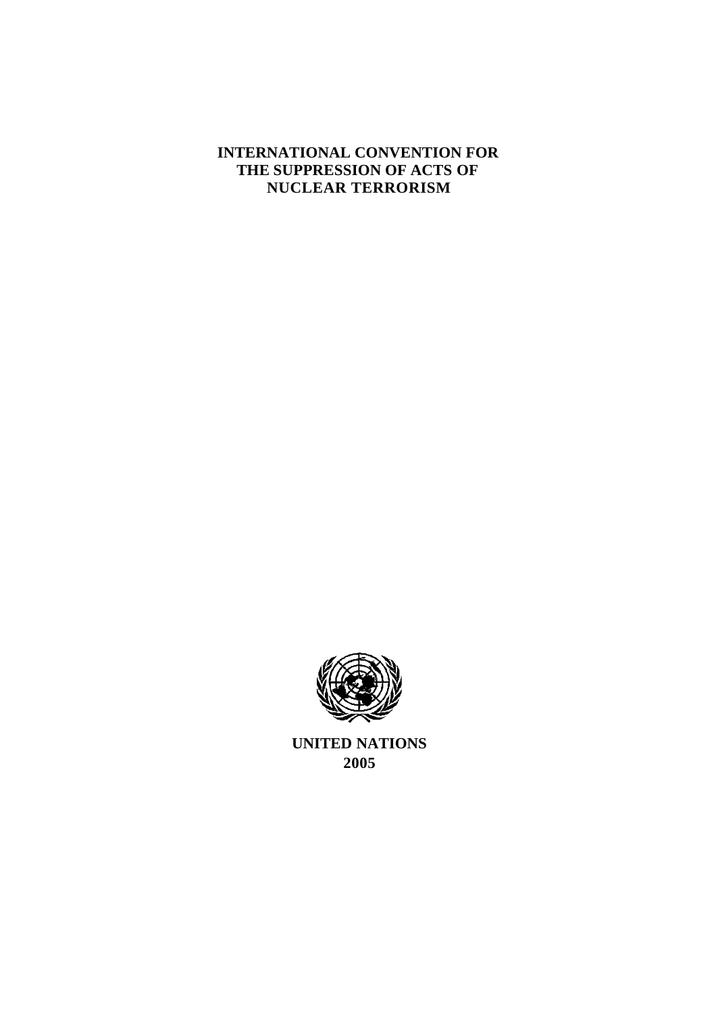# **INTERNATIONAL CONVENTION FOR THE SUPPRESSION OF ACTS OF NUCLEAR TERRORISM**



**UNITED NATIONS 2005**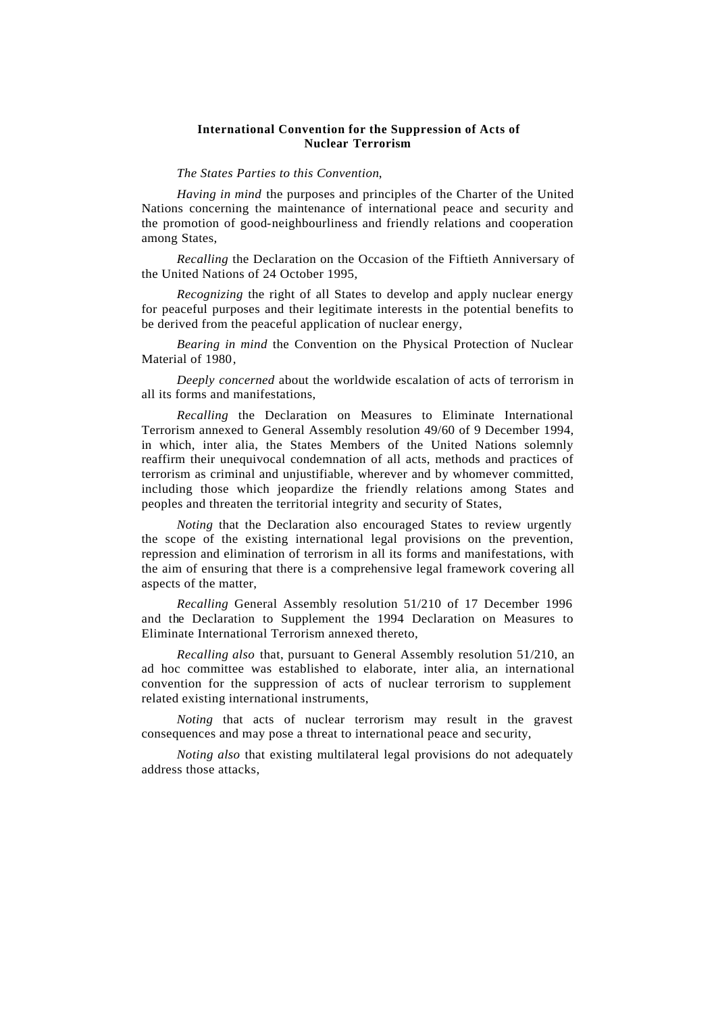## **International Convention for the Suppression of Acts of Nuclear Terrorism**

### *The States Parties to this Convention*,

*Having in mind* the purposes and principles of the Charter of the United Nations concerning the maintenance of international peace and security and the promotion of good-neighbourliness and friendly relations and cooperation among States,

*Recalling* the Declaration on the Occasion of the Fiftieth Anniversary of the United Nations of 24 October 1995,

*Recognizing* the right of all States to develop and apply nuclear energy for peaceful purposes and their legitimate interests in the potential benefits to be derived from the peaceful application of nuclear energy,

*Bearing in mind* the Convention on the Physical Protection of Nuclear Material of 1980,

*Deeply concerned* about the worldwide escalation of acts of terrorism in all its forms and manifestations,

*Recalling* the Declaration on Measures to Eliminate International Terrorism annexed to General Assembly resolution 49/60 of 9 December 1994, in which, inter alia, the States Members of the United Nations solemnly reaffirm their unequivocal condemnation of all acts, methods and practices of terrorism as criminal and unjustifiable, wherever and by whomever committed, including those which jeopardize the friendly relations among States and peoples and threaten the territorial integrity and security of States,

*Noting* that the Declaration also encouraged States to review urgently the scope of the existing international legal provisions on the prevention, repression and elimination of terrorism in all its forms and manifestations, with the aim of ensuring that there is a comprehensive legal framework covering all aspects of the matter,

*Recalling* General Assembly resolution 51/210 of 17 December 1996 and the Declaration to Supplement the 1994 Declaration on Measures to Eliminate International Terrorism annexed thereto,

*Recalling also* that, pursuant to General Assembly resolution 51/210, an ad hoc committee was established to elaborate, inter alia, an international convention for the suppression of acts of nuclear terrorism to supplement related existing international instruments,

*Noting* that acts of nuclear terrorism may result in the gravest consequences and may pose a threat to international peace and security,

*Noting also* that existing multilateral legal provisions do not adequately address those attacks,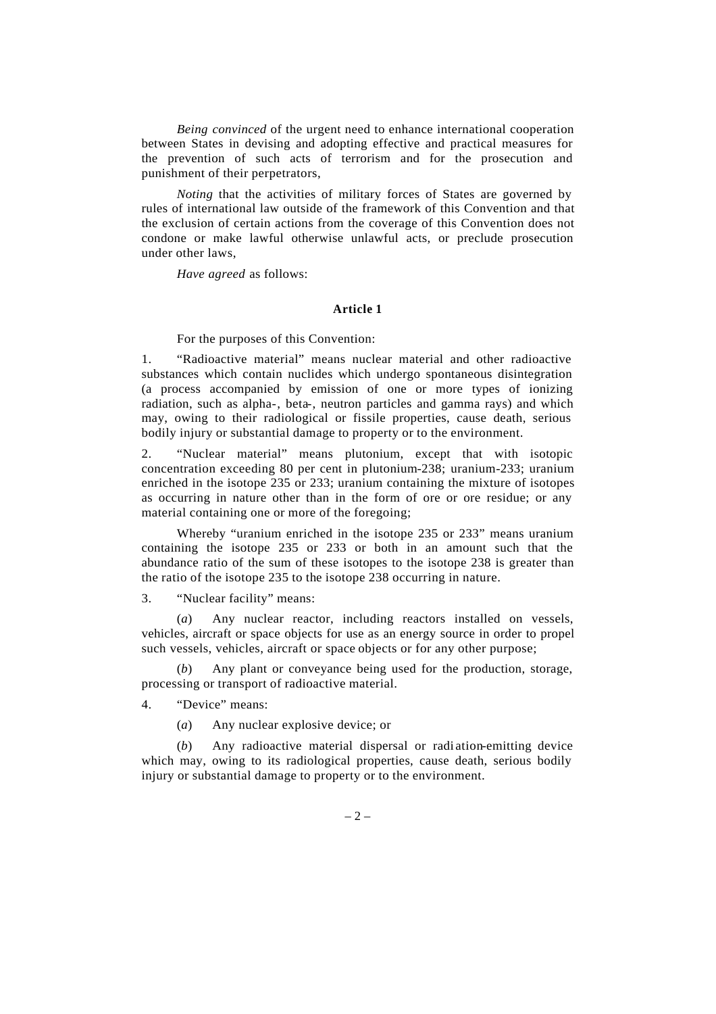*Being convinced* of the urgent need to enhance international cooperation between States in devising and adopting effective and practical measures for the prevention of such acts of terrorism and for the prosecution and punishment of their perpetrators,

*Noting* that the activities of military forces of States are governed by rules of international law outside of the framework of this Convention and that the exclusion of certain actions from the coverage of this Convention does not condone or make lawful otherwise unlawful acts, or preclude prosecution under other laws,

*Have agreed* as follows:

## **Article 1**

For the purposes of this Convention:

1. "Radioactive material" means nuclear material and other radioactive substances which contain nuclides which undergo spontaneous disintegration (a process accompanied by emission of one or more types of ionizing radiation, such as alpha-, beta-, neutron particles and gamma rays) and which may, owing to their radiological or fissile properties, cause death, serious bodily injury or substantial damage to property or to the environment.

2. "Nuclear material" means plutonium, except that with isotopic concentration exceeding 80 per cent in plutonium-238; uranium-233; uranium enriched in the isotope 235 or 233; uranium containing the mixture of isotopes as occurring in nature other than in the form of ore or ore residue; or any material containing one or more of the foregoing;

Whereby "uranium enriched in the isotope 235 or 233" means uranium containing the isotope 235 or 233 or both in an amount such that the abundance ratio of the sum of these isotopes to the isotope 238 is greater than the ratio of the isotope 235 to the isotope 238 occurring in nature.

3. "Nuclear facility" means:

(*a*) Any nuclear reactor, including reactors installed on vessels, vehicles, aircraft or space objects for use as an energy source in order to propel such vessels, vehicles, aircraft or space objects or for any other purpose;

Any plant or conveyance being used for the production, storage, processing or transport of radioactive material.

4. "Device" means:

(*a*) Any nuclear explosive device; or

(*b*) Any radioactive material dispersal or radi ation-emitting device which may, owing to its radiological properties, cause death, serious bodily injury or substantial damage to property or to the environment.

 $-2-$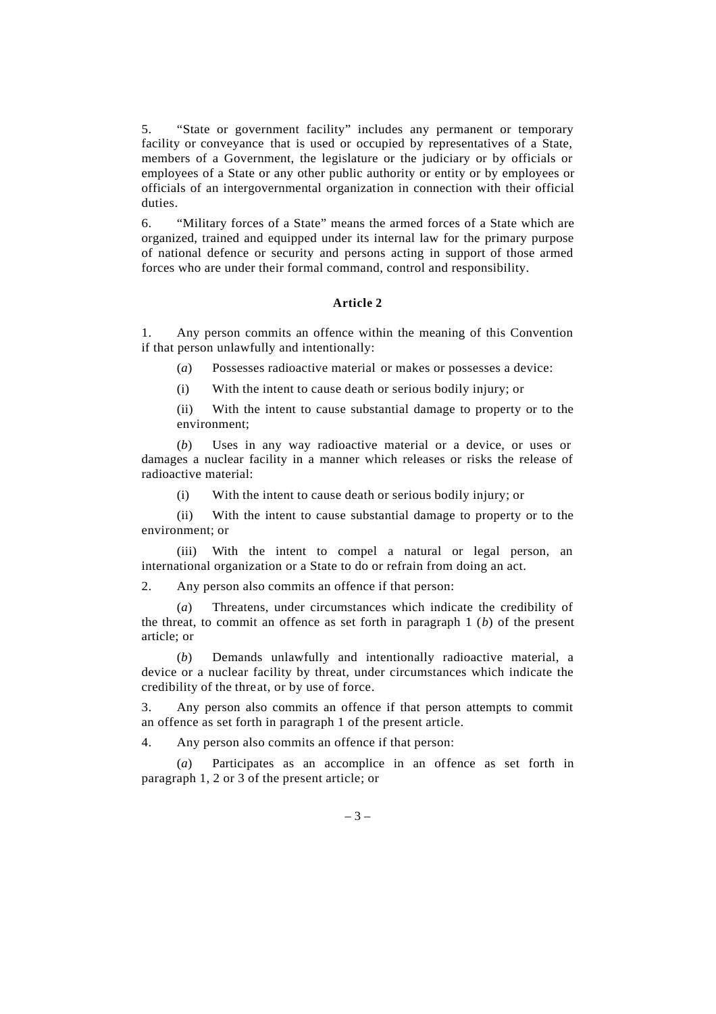5. "State or government facility" includes any permanent or temporary facility or conveyance that is used or occupied by representatives of a State, members of a Government, the legislature or the judiciary or by officials or employees of a State or any other public authority or entity or by employees or officials of an intergovernmental organization in connection with their official duties.

6. "Military forces of a State" means the armed forces of a State which are organized, trained and equipped under its internal law for the primary purpose of national defence or security and persons acting in support of those armed forces who are under their formal command, control and responsibility.

## **Article 2**

1. Any person commits an offence within the meaning of this Convention if that person unlawfully and intentionally:

(*a*) Possesses radioactive material or makes or possesses a device:

(i) With the intent to cause death or serious bodily injury; or

(ii) With the intent to cause substantial damage to property or to the environment;

(*b*) Uses in any way radioactive material or a device, or uses or damages a nuclear facility in a manner which releases or risks the release of radioactive material:

(i) With the intent to cause death or serious bodily injury; or

(ii) With the intent to cause substantial damage to property or to the environment; or

(iii) With the intent to compel a natural or legal person, an international organization or a State to do or refrain from doing an act.

2. Any person also commits an offence if that person:

(*a*) Threatens, under circumstances which indicate the credibility of the threat, to commit an offence as set forth in paragraph 1 (*b*) of the present article; or

(*b*) Demands unlawfully and intentionally radioactive material, a device or a nuclear facility by threat, under circumstances which indicate the credibility of the threat, or by use of force.

3. Any person also commits an offence if that person attempts to commit an offence as set forth in paragraph 1 of the present article.

4. Any person also commits an offence if that person:

(*a*) Participates as an accomplice in an offence as set forth in paragraph 1, 2 or 3 of the present article; or

 $-3-$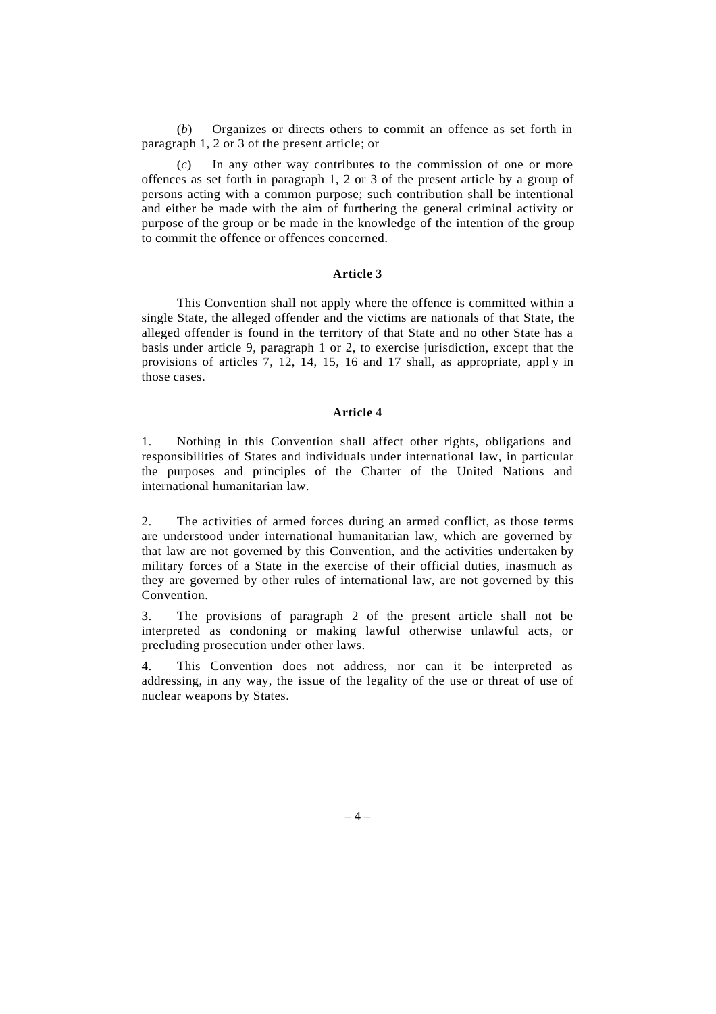(*b*) Organizes or directs others to commit an offence as set forth in paragraph 1, 2 or 3 of the present article; or

(*c*) In any other way contributes to the commission of one or more offences as set forth in paragraph 1, 2 or 3 of the present article by a group of persons acting with a common purpose; such contribution shall be intentional and either be made with the aim of furthering the general criminal activity or purpose of the group or be made in the knowledge of the intention of the group to commit the offence or offences concerned.

## **Article 3**

This Convention shall not apply where the offence is committed within a single State, the alleged offender and the victims are nationals of that State, the alleged offender is found in the territory of that State and no other State has a basis under article 9, paragraph 1 or 2, to exercise jurisdiction, except that the provisions of articles 7, 12, 14, 15, 16 and 17 shall, as appropriate, appl y in those cases.

#### **Article 4**

1. Nothing in this Convention shall affect other rights, obligations and responsibilities of States and individuals under international law, in particular the purposes and principles of the Charter of the United Nations and international humanitarian law.

2. The activities of armed forces during an armed conflict, as those terms are understood under international humanitarian law, which are governed by that law are not governed by this Convention, and the activities undertaken by military forces of a State in the exercise of their official duties, inasmuch as they are governed by other rules of international law, are not governed by this Convention.

3. The provisions of paragraph 2 of the present article shall not be interpreted as condoning or making lawful otherwise unlawful acts, or precluding prosecution under other laws.

4. This Convention does not address, nor can it be interpreted as addressing, in any way, the issue of the legality of the use or threat of use of nuclear weapons by States.

 $-4-$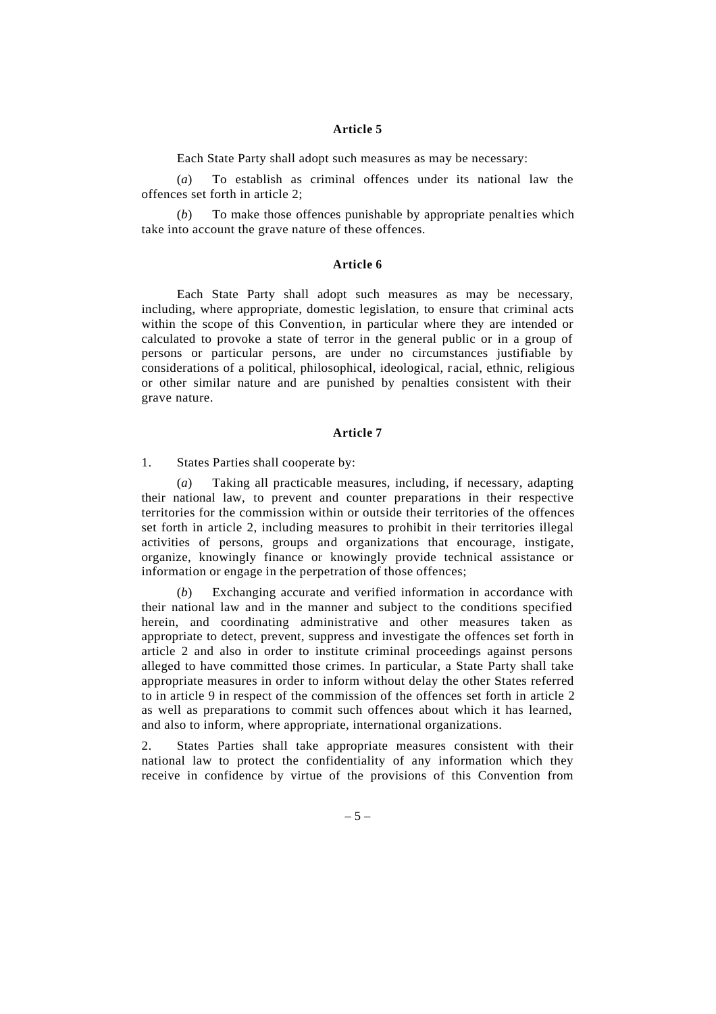#### **Article 5**

Each State Party shall adopt such measures as may be necessary:

(*a*) To establish as criminal offences under its national law the offences set forth in article 2;

(*b*) To make those offences punishable by appropriate penalties which take into account the grave nature of these offences.

## **Article 6**

Each State Party shall adopt such measures as may be necessary, including, where appropriate, domestic legislation, to ensure that criminal acts within the scope of this Convention, in particular where they are intended or calculated to provoke a state of terror in the general public or in a group of persons or particular persons, are under no circumstances justifiable by considerations of a political, philosophical, ideological, racial, ethnic, religious or other similar nature and are punished by penalties consistent with their grave nature.

## **Article 7**

1. States Parties shall cooperate by:

Taking all practicable measures, including, if necessary, adapting their national law, to prevent and counter preparations in their respective territories for the commission within or outside their territories of the offences set forth in article 2, including measures to prohibit in their territories illegal activities of persons, groups and organizations that encourage, instigate, organize, knowingly finance or knowingly provide technical assistance or information or engage in the perpetration of those offences;

(*b*) Exchanging accurate and verified information in accordance with their national law and in the manner and subject to the conditions specified herein, and coordinating administrative and other measures taken as appropriate to detect, prevent, suppress and investigate the offences set forth in article 2 and also in order to institute criminal proceedings against persons alleged to have committed those crimes. In particular, a State Party shall take appropriate measures in order to inform without delay the other States referred to in article 9 in respect of the commission of the offences set forth in article 2 as well as preparations to commit such offences about which it has learned, and also to inform, where appropriate, international organizations.

2. States Parties shall take appropriate measures consistent with their national law to protect the confidentiality of any information which they receive in confidence by virtue of the provisions of this Convention from

 $-5-$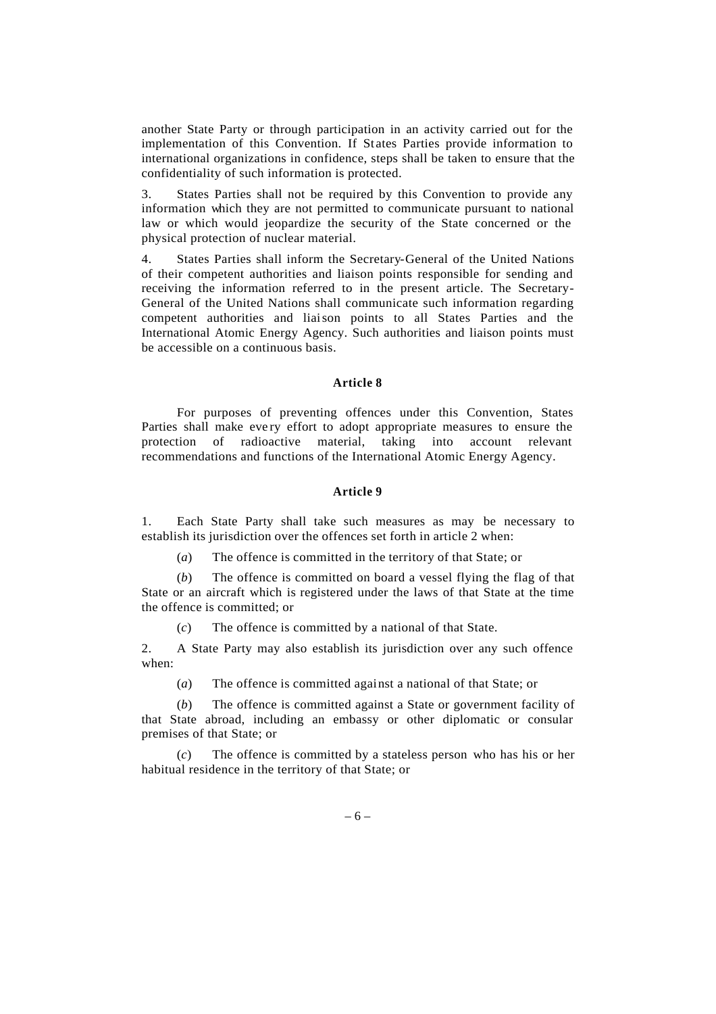another State Party or through participation in an activity carried out for the implementation of this Convention. If St ates Parties provide information to international organizations in confidence, steps shall be taken to ensure that the confidentiality of such information is protected.

3. States Parties shall not be required by this Convention to provide any information which they are not permitted to communicate pursuant to national law or which would jeopardize the security of the State concerned or the physical protection of nuclear material.

4. States Parties shall inform the Secretary-General of the United Nations of their competent authorities and liaison points responsible for sending and receiving the information referred to in the present article. The Secretary-General of the United Nations shall communicate such information regarding competent authorities and liaison points to all States Parties and the International Atomic Energy Agency. Such authorities and liaison points must be accessible on a continuous basis.

#### **Article 8**

For purposes of preventing offences under this Convention, States Parties shall make every effort to adopt appropriate measures to ensure the protection of radioactive material, taking into account relevant recommendations and functions of the International Atomic Energy Agency.

#### **Article 9**

1. Each State Party shall take such measures as may be necessary to establish its jurisdiction over the offences set forth in article 2 when:

(*a*) The offence is committed in the territory of that State; or

(*b*) The offence is committed on board a vessel flying the flag of that State or an aircraft which is registered under the laws of that State at the time the offence is committed; or

(*c*) The offence is committed by a national of that State.

2. A State Party may also establish its jurisdiction over any such offence when:

(*a*) The offence is committed against a national of that State; or

(*b*) The offence is committed against a State or government facility of that State abroad, including an embassy or other diplomatic or consular premises of that State; or

(*c*) The offence is committed by a stateless person who has his or her habitual residence in the territory of that State; or

 $-6-$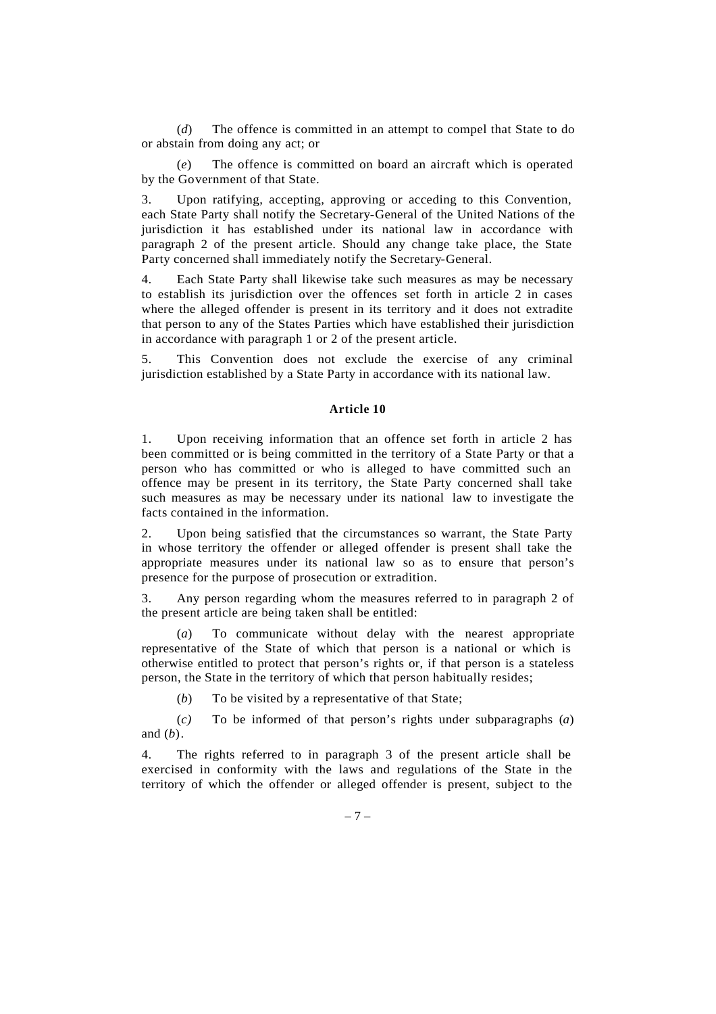(*d*) The offence is committed in an attempt to compel that State to do or abstain from doing any act; or

(*e*) The offence is committed on board an aircraft which is operated by the Government of that State.

3. Upon ratifying, accepting, approving or acceding to this Convention, each State Party shall notify the Secretary-General of the United Nations of the jurisdiction it has established under its national law in accordance with paragraph 2 of the present article. Should any change take place, the State Party concerned shall immediately notify the Secretary-General.

4. Each State Party shall likewise take such measures as may be necessary to establish its jurisdiction over the offences set forth in article 2 in cases where the alleged offender is present in its territory and it does not extradite that person to any of the States Parties which have established their jurisdiction in accordance with paragraph 1 or 2 of the present article.

5. This Convention does not exclude the exercise of any criminal jurisdiction established by a State Party in accordance with its national law.

## **Article 10**

1. Upon receiving information that an offence set forth in article 2 has been committed or is being committed in the territory of a State Party or that a person who has committed or who is alleged to have committed such an offence may be present in its territory, the State Party concerned shall take such measures as may be necessary under its national law to investigate the facts contained in the information.

2. Upon being satisfied that the circumstances so warrant, the State Party in whose territory the offender or alleged offender is present shall take the appropriate measures under its national law so as to ensure that person's presence for the purpose of prosecution or extradition.

3. Any person regarding whom the measures referred to in paragraph 2 of the present article are being taken shall be entitled:

(*a*) To communicate without delay with the nearest appropriate representative of the State of which that person is a national or which is otherwise entitled to protect that person's rights or, if that person is a stateless person, the State in the territory of which that person habitually resides;

(*b*) To be visited by a representative of that State;

(*c)* To be informed of that person's rights under subparagraphs (*a*) and (*b*).

4. The rights referred to in paragraph 3 of the present article shall be exercised in conformity with the laws and regulations of the State in the territory of which the offender or alleged offender is present, subject to the

– 7 –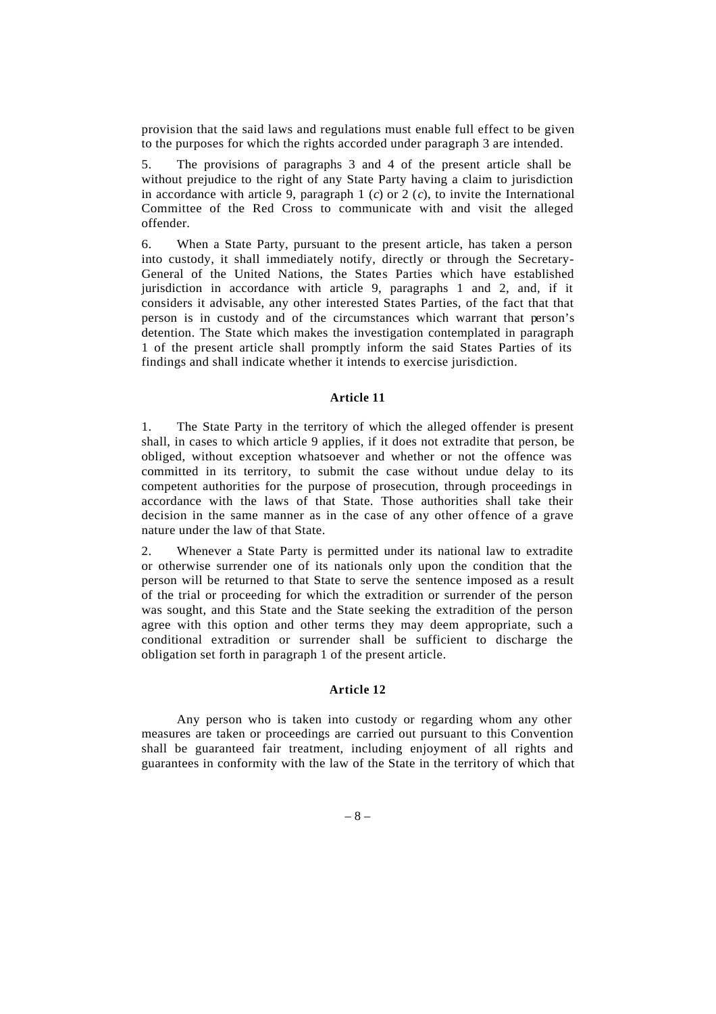provision that the said laws and regulations must enable full effect to be given to the purposes for which the rights accorded under paragraph 3 are intended.

5. The provisions of paragraphs 3 and 4 of the present article shall be without prejudice to the right of any State Party having a claim to jurisdiction in accordance with article 9, paragraph 1 (*c*) or 2 (*c*), to invite the International Committee of the Red Cross to communicate with and visit the alleged offender.

6. When a State Party, pursuant to the present article, has taken a person into custody, it shall immediately notify, directly or through the Secretary-General of the United Nations, the States Parties which have established jurisdiction in accordance with article 9, paragraphs 1 and 2, and, if it considers it advisable, any other interested States Parties, of the fact that that person is in custody and of the circumstances which warrant that person's detention. The State which makes the investigation contemplated in paragraph 1 of the present article shall promptly inform the said States Parties of its findings and shall indicate whether it intends to exercise jurisdiction.

### **Article 11**

1. The State Party in the territory of which the alleged offender is present shall, in cases to which article 9 applies, if it does not extradite that person, be obliged, without exception whatsoever and whether or not the offence was committed in its territory, to submit the case without undue delay to its competent authorities for the purpose of prosecution, through proceedings in accordance with the laws of that State. Those authorities shall take their decision in the same manner as in the case of any other offence of a grave nature under the law of that State.

2. Whenever a State Party is permitted under its national law to extradite or otherwise surrender one of its nationals only upon the condition that the person will be returned to that State to serve the sentence imposed as a result of the trial or proceeding for which the extradition or surrender of the person was sought, and this State and the State seeking the extradition of the person agree with this option and other terms they may deem appropriate, such a conditional extradition or surrender shall be sufficient to discharge the obligation set forth in paragraph 1 of the present article.

#### **Article 12**

Any person who is taken into custody or regarding whom any other measures are taken or proceedings are carried out pursuant to this Convention shall be guaranteed fair treatment, including enjoyment of all rights and guarantees in conformity with the law of the State in the territory of which that

– 8 –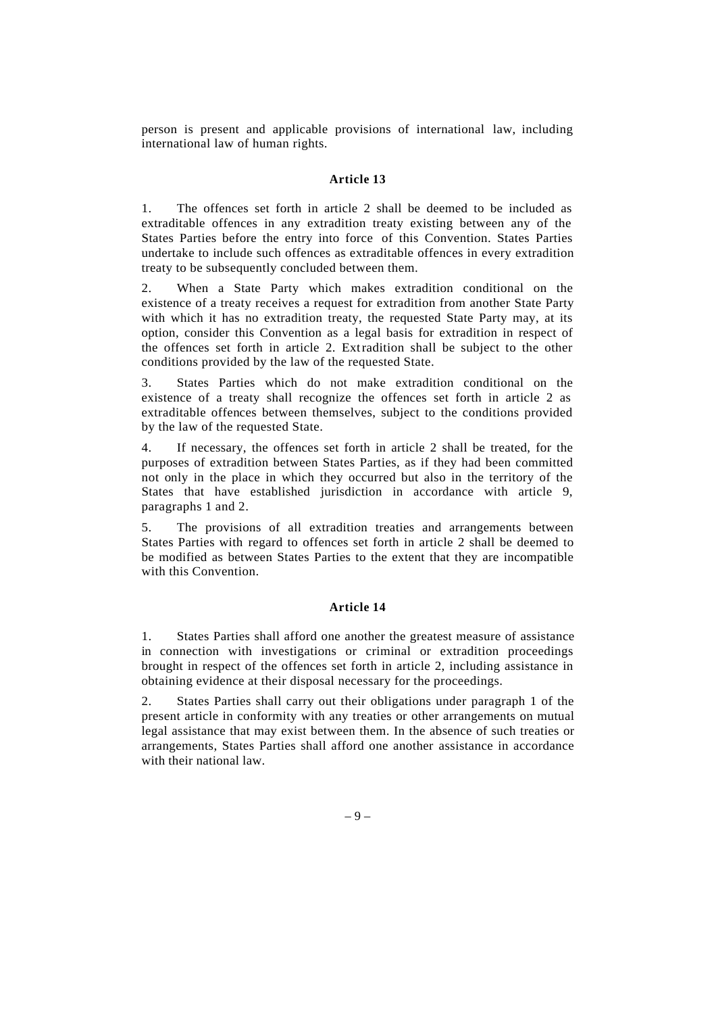person is present and applicable provisions of international law, including international law of human rights.

#### **Article 13**

1. The offences set forth in article 2 shall be deemed to be included as extraditable offences in any extradition treaty existing between any of the States Parties before the entry into force of this Convention. States Parties undertake to include such offences as extraditable offences in every extradition treaty to be subsequently concluded between them.

2. When a State Party which makes extradition conditional on the existence of a treaty receives a request for extradition from another State Party with which it has no extradition treaty, the requested State Party may, at its option, consider this Convention as a legal basis for extradition in respect of the offences set forth in article 2. Extradition shall be subject to the other conditions provided by the law of the requested State.

3. States Parties which do not make extradition conditional on the existence of a treaty shall recognize the offences set forth in article 2 as extraditable offences between themselves, subject to the conditions provided by the law of the requested State.

4. If necessary, the offences set forth in article 2 shall be treated, for the purposes of extradition between States Parties, as if they had been committed not only in the place in which they occurred but also in the territory of the States that have established jurisdiction in accordance with article 9, paragraphs 1 and 2.

5. The provisions of all extradition treaties and arrangements between States Parties with regard to offences set forth in article 2 shall be deemed to be modified as between States Parties to the extent that they are incompatible with this Convention.

## **Article 14**

1. States Parties shall afford one another the greatest measure of assistance in connection with investigations or criminal or extradition proceedings brought in respect of the offences set forth in article 2, including assistance in obtaining evidence at their disposal necessary for the proceedings.

2. States Parties shall carry out their obligations under paragraph 1 of the present article in conformity with any treaties or other arrangements on mutual legal assistance that may exist between them. In the absence of such treaties or arrangements, States Parties shall afford one another assistance in accordance with their national law.

– 9 –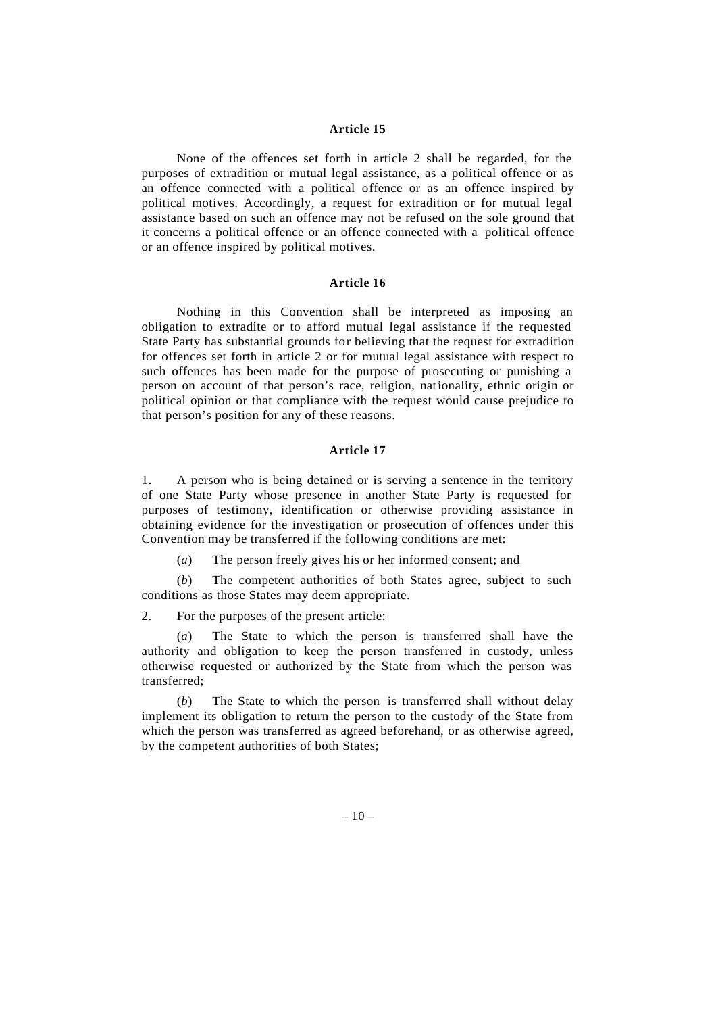## **Article 15**

None of the offences set forth in article 2 shall be regarded, for the purposes of extradition or mutual legal assistance, as a political offence or as an offence connected with a political offence or as an offence inspired by political motives. Accordingly, a request for extradition or for mutual legal assistance based on such an offence may not be refused on the sole ground that it concerns a political offence or an offence connected with a political offence or an offence inspired by political motives.

#### **Article 16**

Nothing in this Convention shall be interpreted as imposing an obligation to extradite or to afford mutual legal assistance if the requested State Party has substantial grounds for believing that the request for extradition for offences set forth in article 2 or for mutual legal assistance with respect to such offences has been made for the purpose of prosecuting or punishing a person on account of that person's race, religion, nationality, ethnic origin or political opinion or that compliance with the request would cause prejudice to that person's position for any of these reasons.

## **Article 17**

1. A person who is being detained or is serving a sentence in the territory of one State Party whose presence in another State Party is requested for purposes of testimony, identification or otherwise providing assistance in obtaining evidence for the investigation or prosecution of offences under this Convention may be transferred if the following conditions are met:

(*a*) The person freely gives his or her informed consent; and

(*b*) The competent authorities of both States agree, subject to such conditions as those States may deem appropriate.

2. For the purposes of the present article:

(*a*) The State to which the person is transferred shall have the authority and obligation to keep the person transferred in custody, unless otherwise requested or authorized by the State from which the person was transferred;

(*b*) The State to which the person is transferred shall without delay implement its obligation to return the person to the custody of the State from which the person was transferred as agreed beforehand, or as otherwise agreed, by the competent authorities of both States;

 $-10-$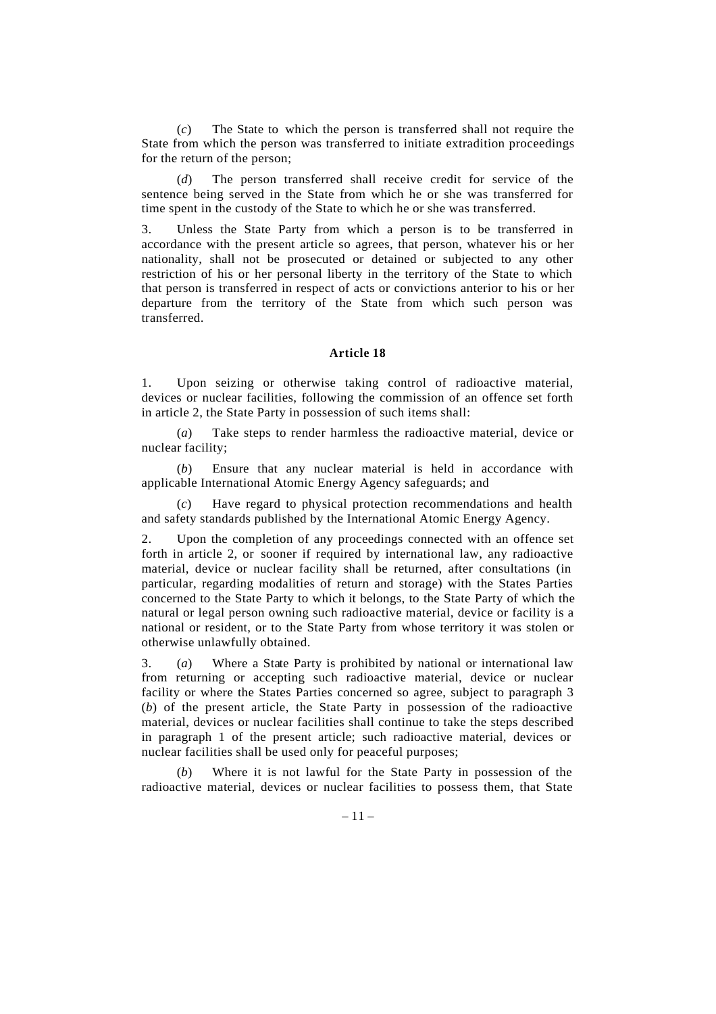(*c*) The State to which the person is transferred shall not require the State from which the person was transferred to initiate extradition proceedings for the return of the person;

(*d*) The person transferred shall receive credit for service of the sentence being served in the State from which he or she was transferred for time spent in the custody of the State to which he or she was transferred.

3. Unless the State Party from which a person is to be transferred in accordance with the present article so agrees, that person, whatever his or her nationality, shall not be prosecuted or detained or subjected to any other restriction of his or her personal liberty in the territory of the State to which that person is transferred in respect of acts or convictions anterior to his or her departure from the territory of the State from which such person was transferred.

#### **Article 18**

1. Upon seizing or otherwise taking control of radioactive material, devices or nuclear facilities, following the commission of an offence set forth in article 2, the State Party in possession of such items shall:

(*a*) Take steps to render harmless the radioactive material, device or nuclear facility;

(*b*) Ensure that any nuclear material is held in accordance with applicable International Atomic Energy Agency safeguards; and

Have regard to physical protection recommendations and health and safety standards published by the International Atomic Energy Agency.

2. Upon the completion of any proceedings connected with an offence set forth in article 2, or sooner if required by international law, any radioactive material, device or nuclear facility shall be returned, after consultations (in particular, regarding modalities of return and storage) with the States Parties concerned to the State Party to which it belongs, to the State Party of which the natural or legal person owning such radioactive material, device or facility is a national or resident, or to the State Party from whose territory it was stolen or otherwise unlawfully obtained.

3. (*a*) Where a State Party is prohibited by national or international law from returning or accepting such radioactive material, device or nuclear facility or where the States Parties concerned so agree, subject to paragraph 3 (*b*) of the present article, the State Party in possession of the radioactive material, devices or nuclear facilities shall continue to take the steps described in paragraph 1 of the present article; such radioactive material, devices or nuclear facilities shall be used only for peaceful purposes;

(*b*) Where it is not lawful for the State Party in possession of the radioactive material, devices or nuclear facilities to possess them, that State

 $-11-$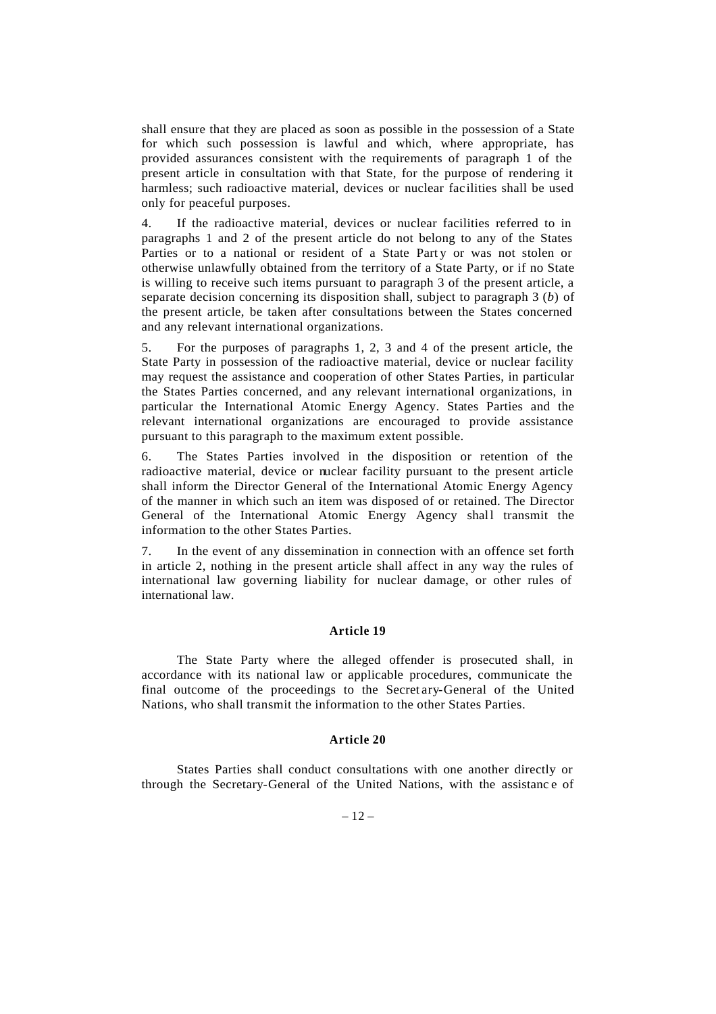shall ensure that they are placed as soon as possible in the possession of a State for which such possession is lawful and which, where appropriate, has provided assurances consistent with the requirements of paragraph 1 of the present article in consultation with that State, for the purpose of rendering it harmless; such radioactive material, devices or nuclear fac ilities shall be used only for peaceful purposes.

4. If the radioactive material, devices or nuclear facilities referred to in paragraphs 1 and 2 of the present article do not belong to any of the States Parties or to a national or resident of a State Part y or was not stolen or otherwise unlawfully obtained from the territory of a State Party, or if no State is willing to receive such items pursuant to paragraph 3 of the present article, a separate decision concerning its disposition shall, subject to paragraph 3 (*b*) of the present article, be taken after consultations between the States concerned and any relevant international organizations.

5. For the purposes of paragraphs 1, 2, 3 and 4 of the present article, the State Party in possession of the radioactive material, device or nuclear facility may request the assistance and cooperation of other States Parties, in particular the States Parties concerned, and any relevant international organizations, in particular the International Atomic Energy Agency. States Parties and the relevant international organizations are encouraged to provide assistance pursuant to this paragraph to the maximum extent possible.

6. The States Parties involved in the disposition or retention of the radioactive material, device or nuclear facility pursuant to the present article shall inform the Director General of the International Atomic Energy Agency of the manner in which such an item was disposed of or retained. The Director General of the International Atomic Energy Agency shall transmit the information to the other States Parties.

7. In the event of any dissemination in connection with an offence set forth in article 2, nothing in the present article shall affect in any way the rules of international law governing liability for nuclear damage, or other rules of international law.

## **Article 19**

The State Party where the alleged offender is prosecuted shall, in accordance with its national law or applicable procedures, communicate the final outcome of the proceedings to the Secret ary-General of the United Nations, who shall transmit the information to the other States Parties.

#### **Article 20**

States Parties shall conduct consultations with one another directly or through the Secretary-General of the United Nations, with the assistanc e of

 $-12-$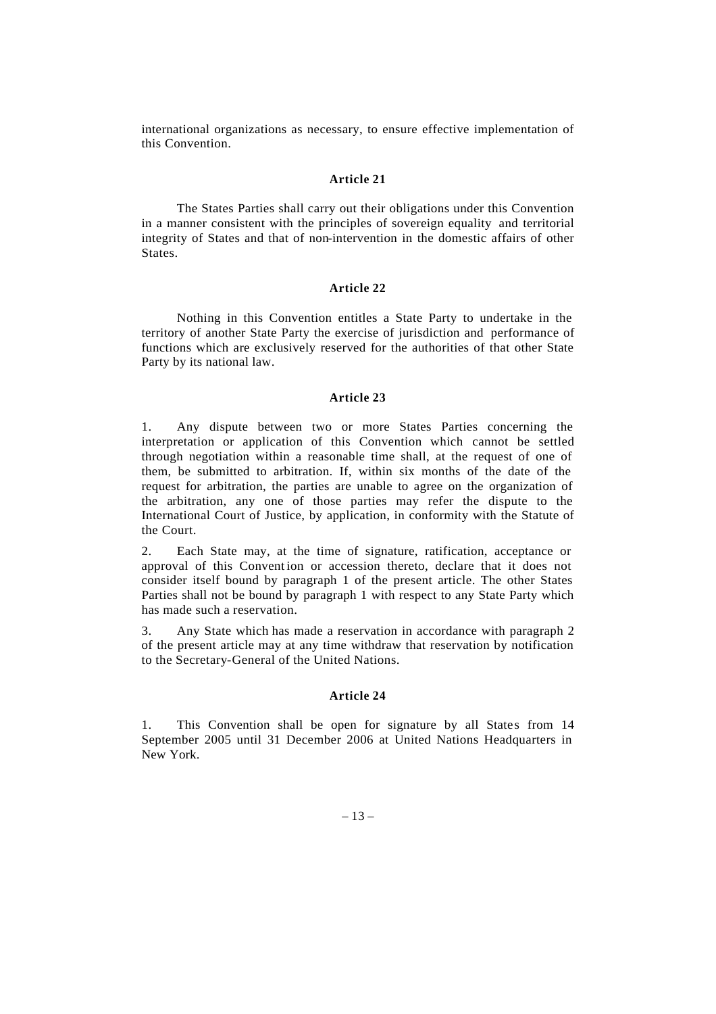international organizations as necessary, to ensure effective implementation of this Convention.

#### **Article 21**

The States Parties shall carry out their obligations under this Convention in a manner consistent with the principles of sovereign equality and territorial integrity of States and that of non-intervention in the domestic affairs of other States.

## **Article 22**

Nothing in this Convention entitles a State Party to undertake in the territory of another State Party the exercise of jurisdiction and performance of functions which are exclusively reserved for the authorities of that other State Party by its national law.

#### **Article 23**

1. Any dispute between two or more States Parties concerning the interpretation or application of this Convention which cannot be settled through negotiation within a reasonable time shall, at the request of one of them, be submitted to arbitration. If, within six months of the date of the request for arbitration, the parties are unable to agree on the organization of the arbitration, any one of those parties may refer the dispute to the International Court of Justice, by application, in conformity with the Statute of the Court.

2. Each State may, at the time of signature, ratification, acceptance or approval of this Convention or accession thereto, declare that it does not consider itself bound by paragraph 1 of the present article. The other States Parties shall not be bound by paragraph 1 with respect to any State Party which has made such a reservation.

3. Any State which has made a reservation in accordance with paragraph 2 of the present article may at any time withdraw that reservation by notification to the Secretary-General of the United Nations.

#### **Article 24**

1. This Convention shall be open for signature by all States from 14 September 2005 until 31 December 2006 at United Nations Headquarters in New York.

 $-13-$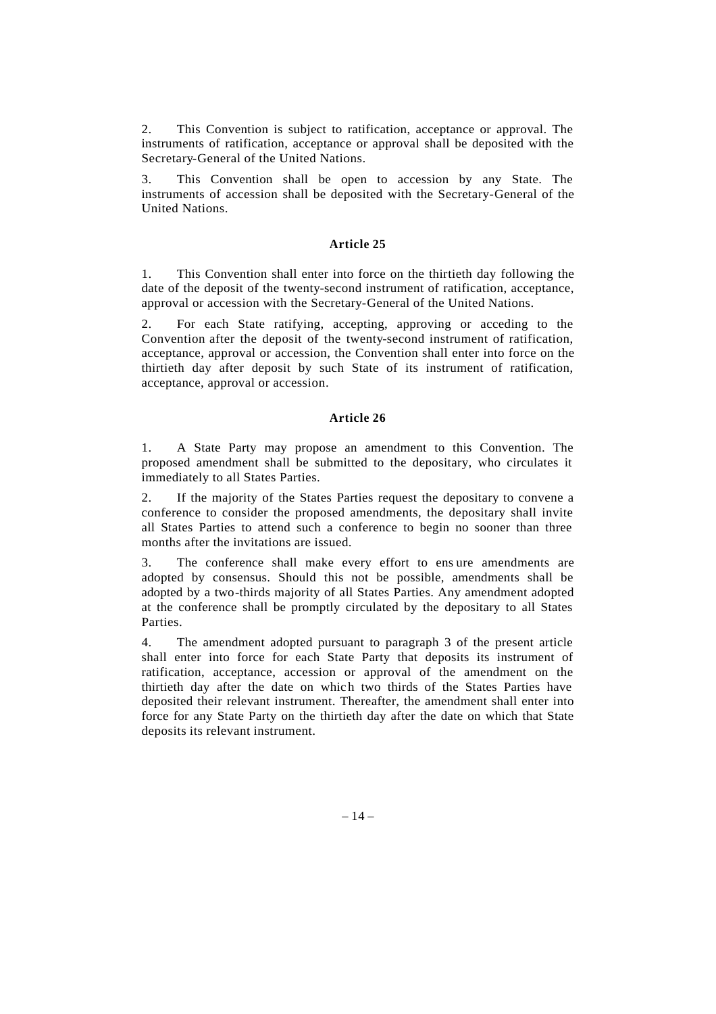2. This Convention is subject to ratification, acceptance or approval. The instruments of ratification, acceptance or approval shall be deposited with the Secretary-General of the United Nations.

3. This Convention shall be open to accession by any State. The instruments of accession shall be deposited with the Secretary-General of the United Nations.

## **Article 25**

1. This Convention shall enter into force on the thirtieth day following the date of the deposit of the twenty-second instrument of ratification, acceptance, approval or accession with the Secretary-General of the United Nations.

2. For each State ratifying, accepting, approving or acceding to the Convention after the deposit of the twenty-second instrument of ratification, acceptance, approval or accession, the Convention shall enter into force on the thirtieth day after deposit by such State of its instrument of ratification, acceptance, approval or accession.

## **Article 26**

1. A State Party may propose an amendment to this Convention. The proposed amendment shall be submitted to the depositary, who circulates it immediately to all States Parties.

2. If the majority of the States Parties request the depositary to convene a conference to consider the proposed amendments, the depositary shall invite all States Parties to attend such a conference to begin no sooner than three months after the invitations are issued.

3. The conference shall make every effort to ens ure amendments are adopted by consensus. Should this not be possible, amendments shall be adopted by a two-thirds majority of all States Parties. Any amendment adopted at the conference shall be promptly circulated by the depositary to all States Parties.

4. The amendment adopted pursuant to paragraph 3 of the present article shall enter into force for each State Party that deposits its instrument of ratification, acceptance, accession or approval of the amendment on the thirtieth day after the date on which two thirds of the States Parties have deposited their relevant instrument. Thereafter, the amendment shall enter into force for any State Party on the thirtieth day after the date on which that State deposits its relevant instrument.

 $-14-$